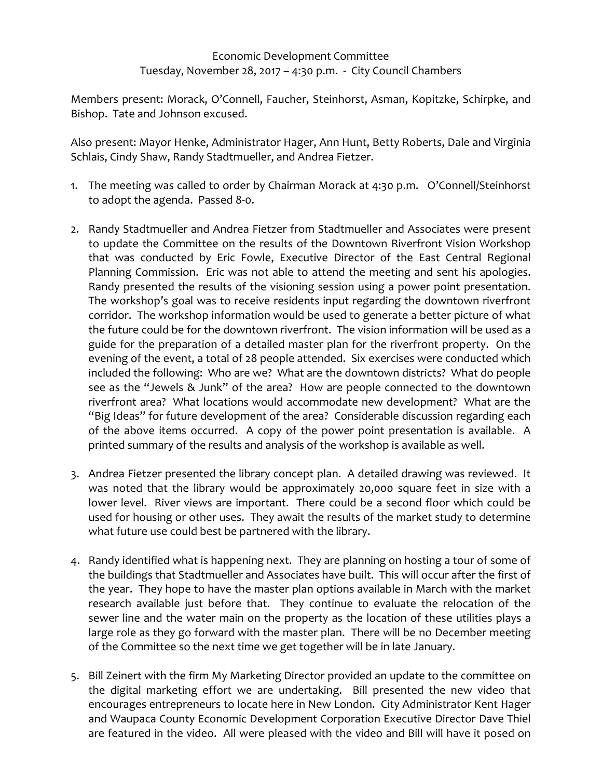## Economic Development Committee Tuesday, November 28, 2017 – 4:30 p.m. ‐ City Council Chambers

Members present: Morack, O'Connell, Faucher, Steinhorst, Asman, Kopitzke, Schirpke, and Bishop. Tate and Johnson excused.

Also present: Mayor Henke, Administrator Hager, Ann Hunt, Betty Roberts, Dale and Virginia Schlais, Cindy Shaw, Randy Stadtmueller, and Andrea Fietzer.

- 1. The meeting was called to order by Chairman Morack at 4:30 p.m. O'Connell/Steinhorst to adopt the agenda. Passed 8‐0.
- 2. Randy Stadtmueller and Andrea Fietzer from Stadtmueller and Associates were present to update the Committee on the results of the Downtown Riverfront Vision Workshop that was conducted by Eric Fowle, Executive Director of the East Central Regional Planning Commission. Eric was not able to attend the meeting and sent his apologies. Randy presented the results of the visioning session using a power point presentation. The workshop's goal was to receive residents input regarding the downtown riverfront corridor. The workshop information would be used to generate a better picture of what the future could be for the downtown riverfront. The vision information will be used as a guide for the preparation of a detailed master plan for the riverfront property. On the evening of the event, a total of 28 people attended. Six exercises were conducted which included the following: Who are we? What are the downtown districts? What do people see as the "Jewels & Junk" of the area? How are people connected to the downtown riverfront area? What locations would accommodate new development? What are the "Big Ideas" for future development of the area? Considerable discussion regarding each of the above items occurred. A copy of the power point presentation is available. A printed summary of the results and analysis of the workshop is available as well.
- 3. Andrea Fietzer presented the library concept plan. A detailed drawing was reviewed. It was noted that the library would be approximately 20,000 square feet in size with a lower level. River views are important. There could be a second floor which could be used for housing or other uses. They await the results of the market study to determine what future use could best be partnered with the library.
- 4. Randy identified what is happening next. They are planning on hosting a tour of some of the buildings that Stadtmueller and Associates have built. This will occur after the first of the year. They hope to have the master plan options available in March with the market research available just before that. They continue to evaluate the relocation of the sewer line and the water main on the property as the location of these utilities plays a large role as they go forward with the master plan. There will be no December meeting of the Committee so the next time we get together will be in late January.
- 5. Bill Zeinert with the firm My Marketing Director provided an update to the committee on the digital marketing effort we are undertaking. Bill presented the new video that encourages entrepreneurs to locate here in New London. City Administrator Kent Hager and Waupaca County Economic Development Corporation Executive Director Dave Thiel are featured in the video. All were pleased with the video and Bill will have it posed on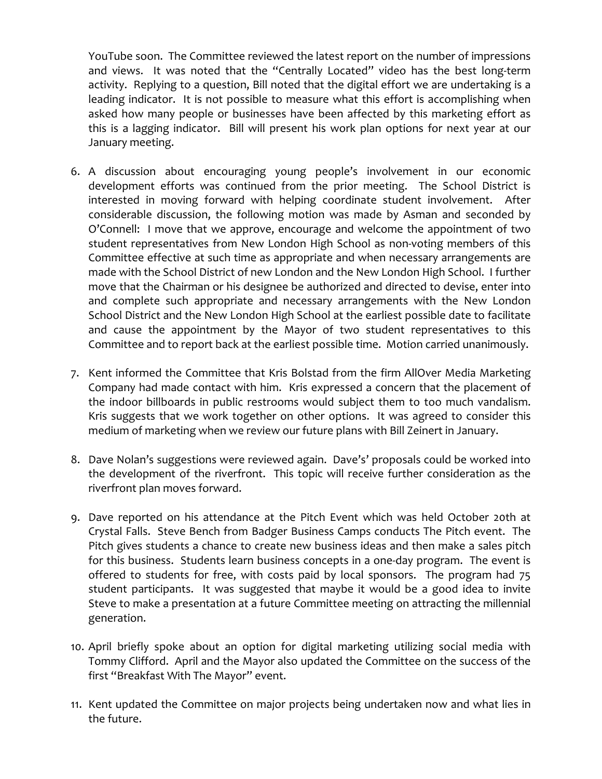YouTube soon. The Committee reviewed the latest report on the number of impressions and views. It was noted that the "Centrally Located" video has the best long-term activity. Replying to a question, Bill noted that the digital effort we are undertaking is a leading indicator. It is not possible to measure what this effort is accomplishing when asked how many people or businesses have been affected by this marketing effort as this is a lagging indicator. Bill will present his work plan options for next year at our January meeting.

- 6. A discussion about encouraging young people's involvement in our economic development efforts was continued from the prior meeting. The School District is interested in moving forward with helping coordinate student involvement. After considerable discussion, the following motion was made by Asman and seconded by O'Connell: I move that we approve, encourage and welcome the appointment of two student representatives from New London High School as non‐voting members of this Committee effective at such time as appropriate and when necessary arrangements are made with the School District of new London and the New London High School. I further move that the Chairman or his designee be authorized and directed to devise, enter into and complete such appropriate and necessary arrangements with the New London School District and the New London High School at the earliest possible date to facilitate and cause the appointment by the Mayor of two student representatives to this Committee and to report back at the earliest possible time. Motion carried unanimously.
- 7. Kent informed the Committee that Kris Bolstad from the firm AllOver Media Marketing Company had made contact with him. Kris expressed a concern that the placement of the indoor billboards in public restrooms would subject them to too much vandalism. Kris suggests that we work together on other options. It was agreed to consider this medium of marketing when we review our future plans with Bill Zeinert in January.
- 8. Dave Nolan's suggestions were reviewed again. Dave's' proposals could be worked into the development of the riverfront. This topic will receive further consideration as the riverfront plan moves forward.
- 9. Dave reported on his attendance at the Pitch Event which was held October 20th at Crystal Falls. Steve Bench from Badger Business Camps conducts The Pitch event. The Pitch gives students a chance to create new business ideas and then make a sales pitch for this business. Students learn business concepts in a one-day program. The event is offered to students for free, with costs paid by local sponsors. The program had 75 student participants. It was suggested that maybe it would be a good idea to invite Steve to make a presentation at a future Committee meeting on attracting the millennial generation.
- 10. April briefly spoke about an option for digital marketing utilizing social media with Tommy Clifford. April and the Mayor also updated the Committee on the success of the first "Breakfast With The Mayor" event.
- 11. Kent updated the Committee on major projects being undertaken now and what lies in the future.